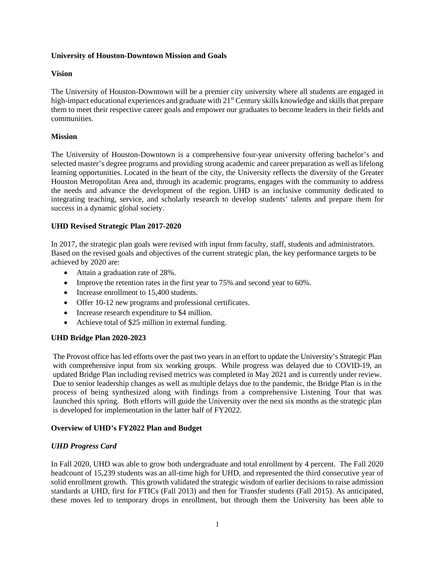#### **University of Houston-Downtown Mission and Goals**

## **Vision**

The University of Houston-Downtown will be a premier city university where all students are engaged in high-impact educational experiences and graduate with 21<sup>st</sup> Century skills knowledge and skills that prepare them to meet their respective career goals and empower our graduates to become leaders in their fields and communities.

## **Mission**

The University of Houston-Downtown is a comprehensive four-year university offering bachelor's and selected master's degree programs and providing strong academic and career preparation as well as lifelong learning opportunities. Located in the heart of the city, the University reflects the diversity of the Greater Houston Metropolitan Area and, through its academic programs, engages with the community to address the needs and advance the development of the region. UHD is an inclusive community dedicated to integrating teaching, service, and scholarly research to develop students' talents and prepare them for success in a dynamic global society.

# **UHD Revised Strategic Plan 2017-2020**

In 2017, the strategic plan goals were revised with input from faculty, staff, students and administrators. Based on the revised goals and objectives of the current strategic plan, the key performance targets to be achieved by 2020 are:

- Attain a graduation rate of 28%.
- Improve the retention rates in the first year to 75% and second year to 60%.
- Increase enrollment to 15,400 students.
- Offer 10-12 new programs and professional certificates.
- Increase research expenditure to \$4 million.
- Achieve total of \$25 million in external funding.

# **UHD Bridge Plan 2020-2023**

The Provost office has led efforts over the past two years in an effort to update the University's Strategic Plan with comprehensive input from six working groups. While progress was delayed due to COVID-19, an updated Bridge Plan including revised metrics was completed in May 2021 and is currently under review. Due to senior leadership changes as well as multiple delays due to the pandemic, the Bridge Plan is in the process of being synthesized along with findings from a comprehensive Listening Tour that was launched this spring. Both efforts will guide the University over the next six months as the strategic plan is developed for implementation in the latter half of FY2022.

#### **Overview of UHD's FY2022 Plan and Budget**

#### *UHD Progress Card*

In Fall 2020, UHD was able to grow both undergraduate and total enrollment by 4 percent. The Fall 2020 headcount of 15,239 students was an all-time high for UHD, and represented the third consecutive year of solid enrollment growth. This growth validated the strategic wisdom of earlier decisions to raise admission standards at UHD, first for FTICs (Fall 2013) and then for Transfer students (Fall 2015). As anticipated, these moves led to temporary drops in enrollment, but through them the University has been able to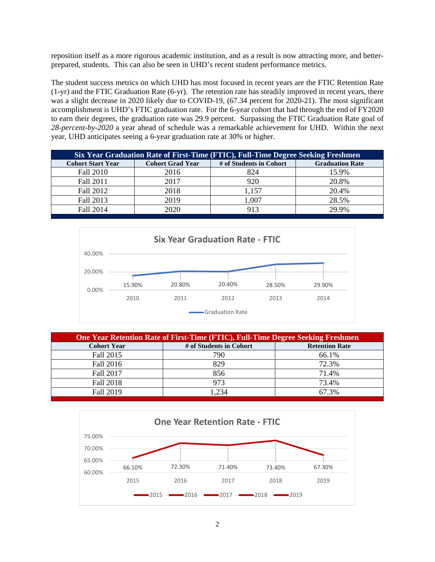reposition itself as a more rigorous academic institution, and as a result is now attracting more, and betterprepared, students. This can also be seen in UHD's recent student performance metrics.

The student success metrics on which UHD has most focused in recent years are the FTIC Retention Rate (1-yr) and the FTIC Graduation Rate (6-yr). The retention rate has steadily improved in recent years, there was a slight decrease in 2020 likely due to COVID-19, (67.34 percent for 2020-21). The most significant accomplishment is UHD's FTIC graduation rate. For the 6-year cohort that had through the end of FY2020 to earn their degrees, the graduation rate was 29.9 percent. Surpassing the FTIC Graduation Rate goal of *28-percent-by-2020* a year ahead of schedule was a remarkable achievement for UHD. Within the next year, UHD anticipates seeing a 6-year graduation rate at 30% or higher.

| Six Year Graduation Rate of First-Time (FTIC), Full-Time Degree Seeking Freshmen |                         |                         |                        |  |  |  |  |  |  |  |
|----------------------------------------------------------------------------------|-------------------------|-------------------------|------------------------|--|--|--|--|--|--|--|
| <b>Cohort Start Year</b>                                                         | <b>Cohort Grad Year</b> | # of Students in Cohort | <b>Graduation Rate</b> |  |  |  |  |  |  |  |
| Fall 2010                                                                        | 2016                    | 824                     | 15.9%                  |  |  |  |  |  |  |  |
| Fall 2011                                                                        | 2017                    | 920                     | 20.8%                  |  |  |  |  |  |  |  |
| Fall 2012                                                                        | 2018                    | 1,157                   | 20.4%                  |  |  |  |  |  |  |  |
| Fall 2013                                                                        | 2019                    | 1,007                   | 28.5%                  |  |  |  |  |  |  |  |
| Fall 2014                                                                        | 2020                    | 913                     | 29.9%                  |  |  |  |  |  |  |  |



| <b>One Year Retention Rate of First-Time (FTIC), Full-Time Degree Seeking Freshmen</b> |                         |                       |  |  |  |  |  |  |  |
|----------------------------------------------------------------------------------------|-------------------------|-----------------------|--|--|--|--|--|--|--|
| <b>Cohort Year</b>                                                                     | # of Students in Cohort | <b>Retention Rate</b> |  |  |  |  |  |  |  |
| Fall 2015                                                                              | 790                     | 66.1%                 |  |  |  |  |  |  |  |
| Fall 2016                                                                              | 829                     | 72.3%                 |  |  |  |  |  |  |  |
| Fall 2017                                                                              | 856                     | 71.4%                 |  |  |  |  |  |  |  |
| Fall 2018                                                                              | 973                     | 73.4%                 |  |  |  |  |  |  |  |
| <b>Fall 2019</b>                                                                       | 1,234                   | 67.3%                 |  |  |  |  |  |  |  |

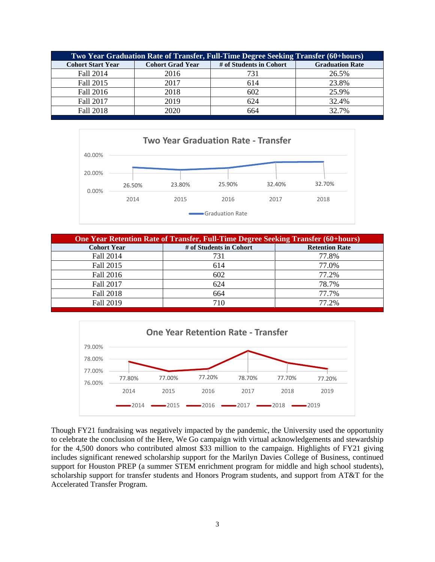| Two Year Graduation Rate of Transfer, Full-Time Degree Seeking Transfer (60+hours) |                         |                         |                        |  |  |  |  |  |  |  |
|------------------------------------------------------------------------------------|-------------------------|-------------------------|------------------------|--|--|--|--|--|--|--|
| <b>Cohort Start Year</b>                                                           | <b>Cohort Grad Year</b> | # of Students in Cohort | <b>Graduation Rate</b> |  |  |  |  |  |  |  |
| Fall 2014                                                                          | 2016                    | 731                     | 26.5%                  |  |  |  |  |  |  |  |
| Fall 2015                                                                          | 2017                    | 614                     | 23.8%                  |  |  |  |  |  |  |  |
| Fall 2016                                                                          | 2018                    | 602                     | 25.9%                  |  |  |  |  |  |  |  |
| Fall 2017                                                                          | 2019                    | 624                     | 32.4%                  |  |  |  |  |  |  |  |
| Fall 2018                                                                          | 2020                    | 664                     | 32.7%                  |  |  |  |  |  |  |  |



| <b>One Year Retention Rate of Transfer, Full-Time Degree Seeking Transfer (60+hours)</b> |                         |                       |  |  |  |  |  |  |  |
|------------------------------------------------------------------------------------------|-------------------------|-----------------------|--|--|--|--|--|--|--|
| <b>Cohort Year</b>                                                                       | # of Students in Cohort | <b>Retention Rate</b> |  |  |  |  |  |  |  |
| Fall 2014                                                                                | 731                     | 77.8%                 |  |  |  |  |  |  |  |
| Fall 2015                                                                                | 614                     | 77.0%                 |  |  |  |  |  |  |  |
| Fall 2016                                                                                | 602                     | 77.2%                 |  |  |  |  |  |  |  |
| Fall 2017                                                                                | 624                     | 78.7%                 |  |  |  |  |  |  |  |
| Fall 2018                                                                                | 664                     | 77.7%                 |  |  |  |  |  |  |  |
| Fall 2019                                                                                | 710                     | 77.2%                 |  |  |  |  |  |  |  |



Though FY21 fundraising was negatively impacted by the pandemic, the University used the opportunity to celebrate the conclusion of the Here, We Go campaign with virtual acknowledgements and stewardship for the 4,500 donors who contributed almost \$33 million to the campaign. Highlights of FY21 giving includes significant renewed scholarship support for the Marilyn Davies College of Business, continued support for Houston PREP (a summer STEM enrichment program for middle and high school students), scholarship support for transfer students and Honors Program students, and support from AT&T for the Accelerated Transfer Program.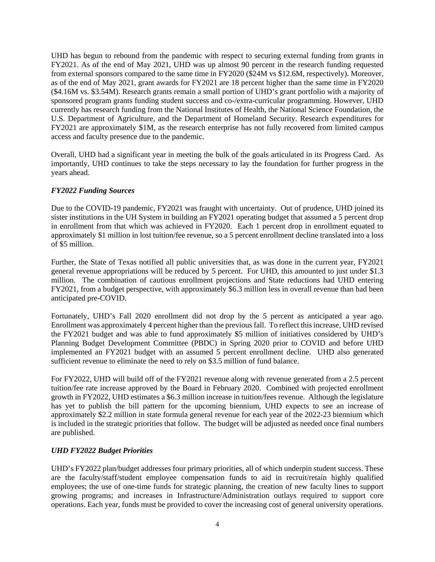UHD has begun to rebound from the pandemic with respect to securing external funding from grants in FY2021. As of the end of May 2021, UHD was up almost 90 percent in the research funding requested from external sponsors compared to the same time in FY2020 (\$24M vs \$12.6M, respectively). Moreover, as of the end of May 2021, grant awards for FY2021 are 18 percent higher than the same time in FY2020 (\$4.16M vs. \$3.54M). Research grants remain a small portion of UHD's grant portfolio with a majority of sponsored program grants funding student success and co-/extra-curricular programming. However, UHD currently has research funding from the National Institutes of Health, the National Science Foundation, the U.S. Department of Agriculture, and the Department of Homeland Security. Research expenditures for FY2021 are approximately \$1M, as the research enterprise has not fully recovered from limited campus access and faculty presence due to the pandemic.

Overall, UHD had a significant year in meeting the bulk of the goals articulated in its Progress Card. As importantly, UHD continues to take the steps necessary to lay the foundation for further progress in the years ahead.

## *FY2022 Funding Sources*

Due to the COVID-19 pandemic, FY2021 was fraught with uncertainty. Out of prudence, UHD joined its sister institutions in the UH System in building an FY2021 operating budget that assumed a 5 percent drop in enrollment from that which was achieved in FY2020. Each 1 percent drop in enrollment equated to approximately \$1 million in lost tuition/fee revenue, so a 5 percent enrollment decline translated into a loss of \$5 million.

Further, the State of Texas notified all public universities that, as was done in the current year, FY2021 general revenue appropriations will be reduced by 5 percent. For UHD, this amounted to just under \$1.3 million. The combination of cautious enrollment projections and State reductions had UHD entering FY2021, from a budget perspective, with approximately \$6.3 million less in overall revenue than had been anticipated pre-COVID.

Fortunately, UHD's Fall 2020 enrollment did not drop by the 5 percent as anticipated a year ago. Enrollment was approximately 4 percent higher than the previousfall. To reflect this increase, UHD revised the FY2021 budget and was able to fund approximately \$5 million of initiatives considered by UHD's Planning Budget Development Committee (PBDC) in Spring 2020 prior to COVID and before UHD implemented an FY2021 budget with an assumed 5 percent enrollment decline. UHD also generated sufficient revenue to eliminate the need to rely on \$3.5 million of fund balance.

For FY2022, UHD will build off of the FY2021 revenue along with revenue generated from a 2.5 percent tuition/fee rate increase approved by the Board in February 2020. Combined with projected enrollment growth in FY2022, UHD estimates a \$6.3 million increase in tuition/fees revenue. Although the legislature has yet to publish the bill pattern for the upcoming biennium, UHD expects to see an increase of approximately \$2.2 million in state formula general revenue for each year of the 2022-23 biennium which is included in the strategic priorities that follow. The budget will be adjusted as needed once final numbers are published.

# *UHD FY2022 Budget Priorities*

UHD's FY2022 plan/budget addresses four primary priorities, all of which underpin student success. These are the faculty/staff/student employee compensation funds to aid in recruit/retain highly qualified employees; the use of one-time funds for strategic planning, the creation of new faculty lines to support growing programs; and increases in Infrastructure/Administration outlays required to support core operations. Each year, funds must be provided to cover the increasing cost of general university operations.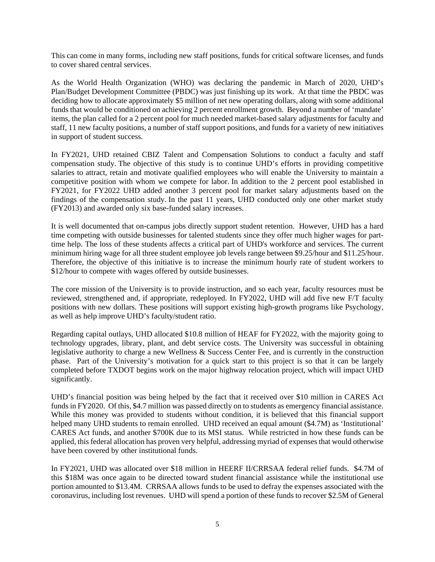This can come in many forms, including new staff positions, funds for critical software licenses, and funds to cover shared central services.

As the World Health Organization (WHO) was declaring the pandemic in March of 2020, UHD's Plan/Budget Development Committee (PBDC) was just finishing up its work. At that time the PBDC was deciding how to allocate approximately \$5 million of net new operating dollars, along with some additional funds that would be conditioned on achieving 2 percent enrollment growth. Beyond a number of 'mandate' items, the plan called for a 2 percent pool for much needed market-based salary adjustments for faculty and staff, 11 new faculty positions, a number of staff support positions, and funds for a variety of new initiatives in support of student success.

In FY2021, UHD retained CBIZ Talent and Compensation Solutions to conduct a faculty and staff compensation study. The objective of this study is to continue UHD's efforts in providing competitive salaries to attract, retain and motivate qualified employees who will enable the University to maintain a competitive position with whom we compete for labor. In addition to the 2 percent pool established in FY2021, for FY2022 UHD added another 3 percent pool for market salary adjustments based on the findings of the compensation study. In the past 11 years, UHD conducted only one other market study (FY2013) and awarded only six base-funded salary increases.

It is well documented that on-campus jobs directly support student retention. However, UHD has a hard time competing with outside businesses for talented students since they offer much higher wages for parttime help. The loss of these students affects a critical part of UHD's workforce and services. The current minimum hiring wage for all three student employee job levels range between \$9.25/hour and \$11.25/hour. Therefore, the objective of this initiative is to increase the minimum hourly rate of student workers to \$12/hour to compete with wages offered by outside businesses.

The core mission of the University is to provide instruction, and so each year, faculty resources must be reviewed, strengthened and, if appropriate, redeployed. In FY2022, UHD will add five new F/T faculty positions with new dollars. These positions will support existing high-growth programs like Psychology, as well as help improve UHD's faculty/student ratio.

Regarding capital outlays, UHD allocated \$10.8 million of HEAF for FY2022, with the majority going to technology upgrades, library, plant, and debt service costs. The University was successful in obtaining legislative authority to charge a new Wellness & Success Center Fee, and is currently in the construction phase. Part of the University's motivation for a quick start to this project is so that it can be largely completed before TXDOT begins work on the major highway relocation project, which will impact UHD significantly.

UHD's financial position was being helped by the fact that it received over \$10 million in CARES Act funds in FY2020. Of this, \$4.7 million was passed directly on to students as emergency financial assistance. While this money was provided to students without condition, it is believed that this financial support helped many UHD students to remain enrolled. UHD received an equal amount (\$4.7M) as 'Institutional' CARES Act funds, and another \$700K due to its MSI status. While restricted in how these funds can be applied, this federal allocation has proven very helpful, addressing myriad of expenses that would otherwise have been covered by other institutional funds.

In FY2021, UHD was allocated over \$18 million in HEERF II/CRRSAA federal relief funds. \$4.7M of this \$18M was once again to be directed toward student financial assistance while the institutional use portion amounted to \$13.4M. CRRSAA allows funds to be used to defray the expenses associated with the coronavirus, including lost revenues. UHD will spend a portion of these funds to recover \$2.5M of General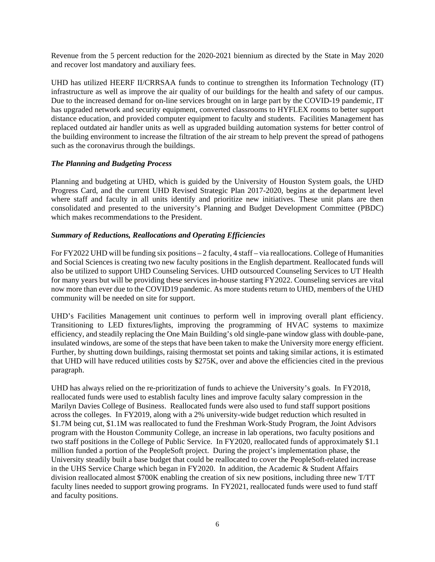Revenue from the 5 percent reduction for the 2020-2021 biennium as directed by the State in May 2020 and recover lost mandatory and auxiliary fees.

UHD has utilized HEERF II/CRRSAA funds to continue to strengthen its Information Technology (IT) infrastructure as well as improve the air quality of our buildings for the health and safety of our campus. Due to the increased demand for on-line services brought on in large part by the COVID-19 pandemic, IT has upgraded network and security equipment, converted classrooms to HYFLEX rooms to better support distance education, and provided computer equipment to faculty and students. Facilities Management has replaced outdated air handler units as well as upgraded building automation systems for better control of the building environment to increase the filtration of the air stream to help prevent the spread of pathogens such as the coronavirus through the buildings.

#### *The Planning and Budgeting Process*

Planning and budgeting at UHD, which is guided by the University of Houston System goals, the UHD Progress Card, and the current UHD Revised Strategic Plan 2017-2020, begins at the department level where staff and faculty in all units identify and prioritize new initiatives. These unit plans are then consolidated and presented to the university's Planning and Budget Development Committee (PBDC) which makes recommendations to the President.

#### *Summary of Reductions, Reallocations and Operating Efficiencies*

For FY2022 UHD will be funding six positions – 2 faculty, 4 staff – via reallocations. College of Humanities and Social Sciences is creating two new faculty positions in the English department. Reallocated funds will also be utilized to support UHD Counseling Services. UHD outsourced Counseling Services to UT Health for many years but will be providing these services in-house starting FY2022. Counseling services are vital now more than ever due to the COVID19 pandemic. As more students return to UHD, members of the UHD community will be needed on site for support.

UHD's Facilities Management unit continues to perform well in improving overall plant efficiency. Transitioning to LED fixtures/lights, improving the programming of HVAC systems to maximize efficiency, and steadily replacing the One Main Building's old single-pane window glass with double-pane, insulated windows, are some of the steps that have been taken to make the University more energy efficient. Further, by shutting down buildings, raising thermostat set points and taking similar actions, it is estimated that UHD will have reduced utilities costs by \$275K, over and above the efficiencies cited in the previous paragraph.

UHD has always relied on the re-prioritization of funds to achieve the University's goals. In FY2018, reallocated funds were used to establish faculty lines and improve faculty salary compression in the Marilyn Davies College of Business. Reallocated funds were also used to fund staff support positions across the colleges. In FY2019, along with a 2% university-wide budget reduction which resulted in \$1.7M being cut, \$1.1M was reallocated to fund the Freshman Work-Study Program, the Joint Advisors program with the Houston Community College, an increase in lab operations, two faculty positions and two staff positions in the College of Public Service. In FY2020, reallocated funds of approximately \$1.1 million funded a portion of the PeopleSoft project. During the project's implementation phase, the University steadily built a base budget that could be reallocated to cover the PeopleSoft-related increase in the UHS Service Charge which began in FY2020. In addition, the Academic & Student Affairs division reallocated almost \$700K enabling the creation of six new positions, including three new T/TT faculty lines needed to support growing programs. In FY2021, reallocated funds were used to fund staff and faculty positions.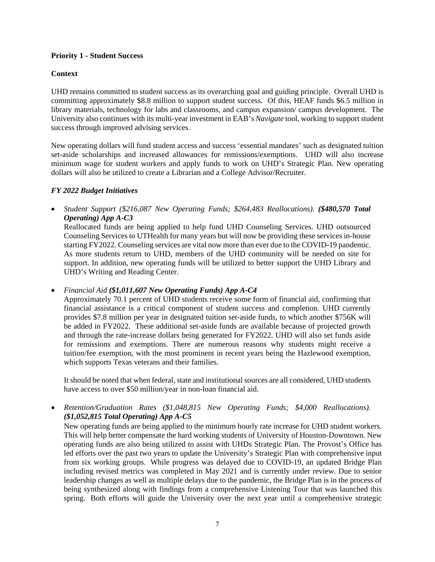#### **Priority 1 - Student Success**

#### **Context**

UHD remains committed to student success as its overarching goal and guiding principle. Overall UHD is committing approximately \$8.8 million to support student success. Of this, HEAF funds \$6.5 million in library materials, technology for labs and classrooms, and campus expansion/ campus development. The University also continues with its multi-year investment in EAB's *Navigate* tool, working to support student success through improved advising services.

New operating dollars will fund student access and success 'essential mandates' such as designated tuition set-aside scholarships and increased allowances for remissions/exemptions. UHD will also increase minimum wage for student workers and apply funds to work on UHD's Strategic Plan. New operating dollars will also be utilized to create a Librarian and a College Advisor/Recruiter.

#### *FY 2022 Budget Initiatives*

• *Student Support (\$216,087 New Operating Funds; \$264,483 Reallocations). (\$480,570 Total Operating) App A-C3*

Reallocated funds are being applied to help fund UHD Counseling Services. UHD outsourced Counseling Services to UTHealth for many years but will now be providing these services in-house starting FY2022. Counseling services are vital now more than ever due to the COVID-19 pandemic. As more students return to UHD, members of the UHD community will be needed on site for support. In addition, new operating funds will be utilized to better support the UHD Library and UHD's Writing and Reading Center.

• *Financial Aid (\$1,011,607 New Operating Funds) App A-C4*

Approximately 70.1 percent of UHD students receive some form of financial aid, confirming that financial assistance is a critical component of student success and completion. UHD currently provides \$7.8 million per year in designated tuition set-aside funds, to which another \$756K will be added in FY2022. These additional set-aside funds are available because of projected growth and through the rate-increase dollars being generated for FY2022. UHD will also set funds aside for remissions and exemptions. There are numerous reasons why students might receive a tuition/fee exemption, with the most prominent in recent years being the Hazlewood exemption, which supports Texas veterans and their families.

It should be noted that when federal, state and institutional sources are all considered, UHD students have access to over \$50 million/year in non-loan financial aid.

• *Retention/Graduation Rates (\$1,048,815 New Operating Funds; \$4,000 Reallocations). (\$1,052,815 Total Operating) App A-C5*

New operating funds are being applied to the minimum hourly rate increase for UHD student workers. This will help better compensate the hard working students of University of Houston-Downtown. New operating funds are also being utilized to assist with UHDs Strategic Plan. The Provost's Office has led efforts over the past two years to update the University's Strategic Plan with comprehensive input from six working groups. While progress was delayed due to COVID-19, an updated Bridge Plan including revised metrics was completed in May 2021 and is currently under review. Due to senior leadership changes as well as multiple delays due to the pandemic, the Bridge Plan is in the process of being synthesized along with findings from a comprehensive Listening Tour that was launched this spring. Both efforts will guide the University over the next year until a comprehensive strategic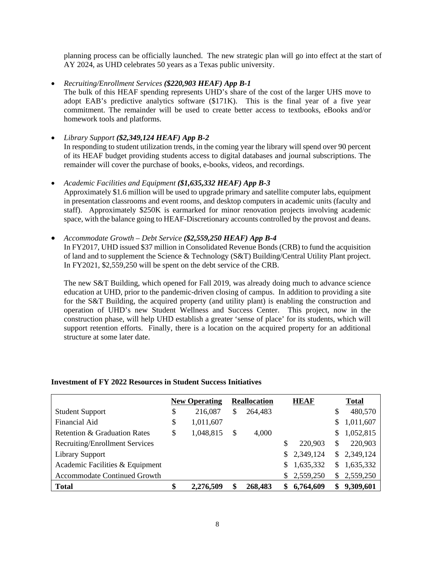planning process can be officially launched. The new strategic plan will go into effect at the start of AY 2024, as UHD celebrates 50 years as a Texas public university.

#### • *Recruiting/Enrollment Services (\$220,903 HEAF) App B-1*

The bulk of this HEAF spending represents UHD's share of the cost of the larger UHS move to adopt EAB's predictive analytics software (\$171K). This is the final year of a five year commitment. The remainder will be used to create better access to textbooks, eBooks and/or homework tools and platforms.

# • *Library Support (\$2,349,124 HEAF) App B-2* In responding to student utilization trends, in the coming year the library will spend over 90 percent of its HEAF budget providing students access to digital databases and journal subscriptions. The remainder will cover the purchase of books, e-books, videos, and recordings.

• *Academic Facilities and Equipment (\$1,635,332 HEAF) App B-3* Approximately \$1.6 million will be used to upgrade primary and satellite computer labs, equipment in presentation classrooms and event rooms, and desktop computers in academic units (faculty and staff). Approximately \$250K is earmarked for minor renovation projects involving academic space, with the balance going to HEAF-Discretionary accounts controlled by the provost and deans.

#### • *Accommodate Growth – Debt Service (\$2,559,250 HEAF) App B-4*

In FY2017, UHD issued \$37 million in Consolidated Revenue Bonds (CRB) to fund the acquisition of land and to supplement the Science & Technology (S&T) Building/Central Utility Plant project. In FY2021, \$2,559,250 will be spent on the debt service of the CRB.

The new S&T Building, which opened for Fall 2019, was already doing much to advance science education at UHD, prior to the pandemic-driven closing of campus. In addition to providing a site for the S&T Building, the acquired property (and utility plant) is enabling the construction and operation of UHD's new Student Wellness and Success Center. This project, now in the construction phase, will help UHD establish a greater 'sense of place' for its students, which will support retention efforts. Finally, there is a location on the acquired property for an additional structure at some later date.

|                                       | <b>New Operating</b> | <b>Reallocation</b> |     | <b>HEAF</b> |     | <b>Total</b> |
|---------------------------------------|----------------------|---------------------|-----|-------------|-----|--------------|
| <b>Student Support</b>                | \$<br>216,087        | \$<br>264,483       |     |             | S   | 480,570      |
| Financial Aid                         | \$<br>1,011,607      |                     |     |             | S   | 1,011,607    |
| Retention & Graduation Rates          | \$<br>1,048,815      | \$<br>4,000         |     |             | \$  | 1,052,815    |
| <b>Recruiting/Enrollment Services</b> |                      |                     |     | 220,903     | S   | 220,903      |
| <b>Library Support</b>                |                      |                     |     | \$2,349,124 |     | \$2,349,124  |
| Academic Facilities & Equipment       |                      |                     | \$. | 1,635,332   | \$. | 1,635,332    |
| <b>Accommodate Continued Growth</b>   |                      |                     | S.  | 2,559,250   | S.  | 2,559,250    |
| <b>Total</b>                          | \$<br>2,276,509      | 268,483             | \$  | 6,764,609   | \$  | 9,309,601    |

#### **Investment of FY 2022 Resources in Student Success Initiatives**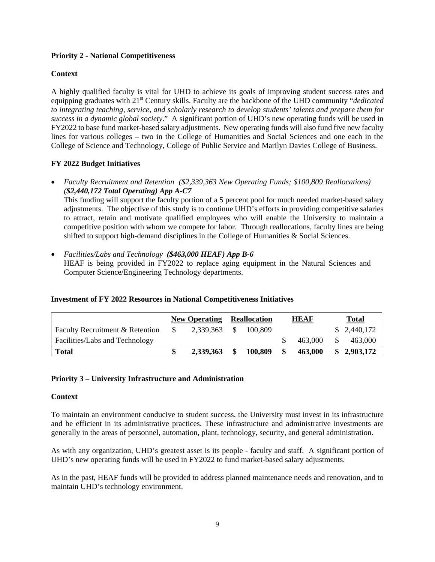## **Priority 2 - National Competitiveness**

## **Context**

A highly qualified faculty is vital for UHD to achieve its goals of improving student success rates and equipping graduates with 21<sup>st</sup> Century skills. Faculty are the backbone of the UHD community "*dedicated to integrating teaching, service, and scholarly research to develop students' talents and prepare them for success in a dynamic global society*." A significant portion of UHD's new operating funds will be used in FY2022 to base fund market-based salary adjustments. New operating funds will also fund five new faculty lines for various colleges – two in the College of Humanities and Social Sciences and one each in the College of Science and Technology, College of Public Service and Marilyn Davies College of Business.

## **FY 2022 Budget Initiatives**

• *Faculty Recruitment and Retention (\$2,339,363 New Operating Funds; \$100,809 Reallocations) (\$2,440,172 Total Operating) App A-C7*

This funding will support the faculty portion of a 5 percent pool for much needed market-based salary adjustments. The objective of this study is to continue UHD's efforts in providing competitive salaries to attract, retain and motivate qualified employees who will enable the University to maintain a competitive position with whom we compete for labor. Through reallocations, faculty lines are being shifted to support high-demand disciplines in the College of Humanities & Social Sciences.

• *Facilities/Labs and Technology (\$463,000 HEAF) App B-6* HEAF is being provided in FY2022 to replace aging equipment in the Natural Sciences and Computer Science/Engineering Technology departments.

#### **Investment of FY 2022 Resources in National Competitiveness Initiatives**

|                                 | <b>New Operating</b> |           | <b>Reallocation</b> |         | <b>HEAF</b> |         | <b>Total</b> |
|---------------------------------|----------------------|-----------|---------------------|---------|-------------|---------|--------------|
| Faculty Recruitment & Retention |                      | 2,339,363 |                     | 100.809 |             |         | \$2,440,172  |
| Facilities/Labs and Technology  |                      |           |                     |         |             | 463,000 | 463,000      |
| <b>Total</b>                    |                      | 2.339.363 |                     | 100,809 |             | 463,000 | 2,903,172    |

#### **Priority 3 – University Infrastructure and Administration**

#### **Context**

To maintain an environment conducive to student success, the University must invest in its infrastructure and be efficient in its administrative practices. These infrastructure and administrative investments are generally in the areas of personnel, automation, plant, technology, security, and general administration.

As with any organization, UHD's greatest asset is its people - faculty and staff. A significant portion of UHD's new operating funds will be used in FY2022 to fund market-based salary adjustments.

As in the past, HEAF funds will be provided to address planned maintenance needs and renovation, and to maintain UHD's technology environment.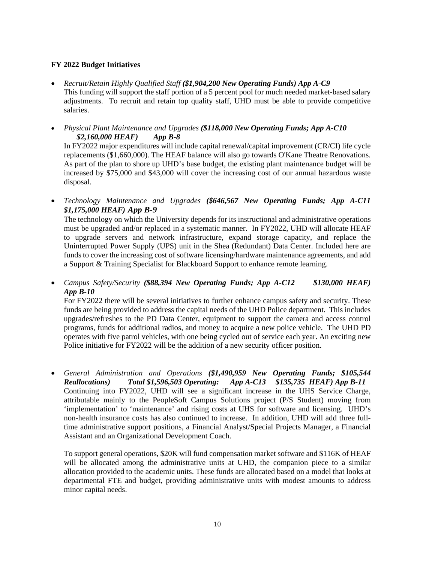## **FY 2022 Budget Initiatives**

- *Recruit/Retain Highly Qualified Staff (\$1,904,200 New Operating Funds) App A-C9* This funding will support the staff portion of a 5 percent pool for much needed market-based salary adjustments. To recruit and retain top quality staff, UHD must be able to provide competitive salaries.
- *Physical Plant Maintenance and Upgrades (\$118,000 New Operating Funds; App A-C10 \$2,160,000 HEAF) App B-8*

In FY2022 major expenditures will include capital renewal/capital improvement (CR/CI) life cycle replacements (\$1,660,000). The HEAF balance will also go towards O'Kane Theatre Renovations. As part of the plan to shore up UHD's base budget, the existing plant maintenance budget will be increased by \$75,000 and \$43,000 will cover the increasing cost of our annual hazardous waste disposal.

• *Technology Maintenance and Upgrades (\$646,567 New Operating Funds; App A-C11 \$1,175,000 HEAF) App B-9*

The technology on which the University depends for its instructional and administrative operations must be upgraded and/or replaced in a systematic manner. In FY2022, UHD will allocate HEAF to upgrade servers and network infrastructure, expand storage capacity, and replace the Uninterrupted Power Supply (UPS) unit in the Shea (Redundant) Data Center. Included here are funds to cover the increasing cost of software licensing/hardware maintenance agreements, and add a Support & Training Specialist for Blackboard Support to enhance remote learning.

• *Campus Safety/Security (\$88,394 New Operating Funds; App A-C12 \$130,000 HEAF) App B-10*

For FY2022 there will be several initiatives to further enhance campus safety and security. These funds are being provided to address the capital needs of the UHD Police department. This includes upgrades/refreshes to the PD Data Center, equipment to support the camera and access control programs, funds for additional radios, and money to acquire a new police vehicle. The UHD PD operates with five patrol vehicles, with one being cycled out of service each year. An exciting new Police initiative for FY2022 will be the addition of a new security officer position.

• *General Administration and Operations (\$1,490,959 New Operating Funds; \$105,544 Reallocations) Total \$1,596,503 Operating: App A-C13 \$135,735 HEAF) App B-11* Continuing into FY2022, UHD will see a significant increase in the UHS Service Charge, attributable mainly to the PeopleSoft Campus Solutions project (P/S Student) moving from 'implementation' to 'maintenance' and rising costs at UHS for software and licensing. UHD's non-health insurance costs has also continued to increase. In addition, UHD will add three fulltime administrative support positions, a Financial Analyst/Special Projects Manager, a Financial Assistant and an Organizational Development Coach.

To support general operations, \$20K will fund compensation market software and \$116K of HEAF will be allocated among the administrative units at UHD, the companion piece to a similar allocation provided to the academic units. These funds are allocated based on a model that looks at departmental FTE and budget, providing administrative units with modest amounts to address minor capital needs.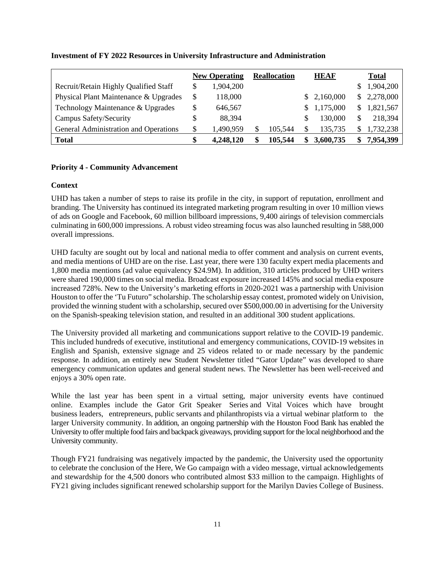|                                       | <b>New Operating</b> | <b>Reallocation</b> | <b>HEAF</b>     |    | <b>Total</b> |
|---------------------------------------|----------------------|---------------------|-----------------|----|--------------|
| Recruit/Retain Highly Qualified Staff | \$<br>1,904,200      |                     |                 | S  | 1,904,200    |
| Physical Plant Maintenance & Upgrades | \$<br>118,000        |                     | 2,160,000       | S. | 2,278,000    |
| Technology Maintenance & Upgrades     | \$<br>646,567        |                     | 1,175,000       | S  | 1,821,567    |
| Campus Safety/Security                | \$<br>88,394         |                     | 130,000         |    | 218,394      |
| General Administration and Operations | \$<br>1,490,959      | 105,544             | \$<br>135,735   |    | 1,732,238    |
| <b>Total</b>                          | \$<br>4,248,120      | \$<br>105,544       | \$<br>3,600,735 | Я  | 7,954,399    |

## **Investment of FY 2022 Resources in University Infrastructure and Administration**

## **Priority 4 - Community Advancement**

## **Context**

UHD has taken a number of steps to raise its profile in the city, in support of reputation, enrollment and branding. The University has continued its integrated marketing program resulting in over 10 million views of ads on Google and Facebook, 60 million billboard impressions, 9,400 airings of television commercials culminating in 600,000 impressions. A robust video streaming focus was also launched resulting in 588,000 overall impressions.

UHD faculty are sought out by local and national media to offer comment and analysis on current events, and media mentions of UHD are on the rise. Last year, there were 130 faculty expert media placements and 1,800 media mentions (ad value equivalency \$24.9M). In addition, 310 articles produced by UHD writers were shared 190,000 times on social media. Broadcast exposure increased 145% and social media exposure increased 728%. New to the University's marketing efforts in 2020-2021 was a partnership with Univision Houston to offer the 'Tu Futuro" scholarship. The scholarship essay contest, promoted widely on Univision, provided the winning student with a scholarship, secured over \$500,000.00 in advertising for the University on the Spanish-speaking television station, and resulted in an additional 300 student applications.

The University provided all marketing and communications support relative to the COVID-19 pandemic. This included hundreds of executive, institutional and emergency communications, COVID-19 websites in English and Spanish, extensive signage and 25 videos related to or made necessary by the pandemic response. In addition, an entirely new Student Newsletter titled "Gator Update" was developed to share emergency communication updates and general student news. The Newsletter has been well-received and enjoys a 30% open rate.

While the last year has been spent in a virtual setting, major university events have continued online. Examples include the Gator Grit Speaker Series and Vital Voices which have brought business leaders, entrepreneurs, public servants and philanthropists via a virtual webinar platform to the larger University community. In addition, an ongoing partnership with the Houston Food Bank has enabled the University to offer multiple food fairs and backpack giveaways, providing support for the local neighborhood and the University community.

Though FY21 fundraising was negatively impacted by the pandemic, the University used the opportunity to celebrate the conclusion of the Here, We Go campaign with a video message, virtual acknowledgements and stewardship for the 4,500 donors who contributed almost \$33 million to the campaign. Highlights of FY21 giving includes significant renewed scholarship support for the Marilyn Davies College of Business.